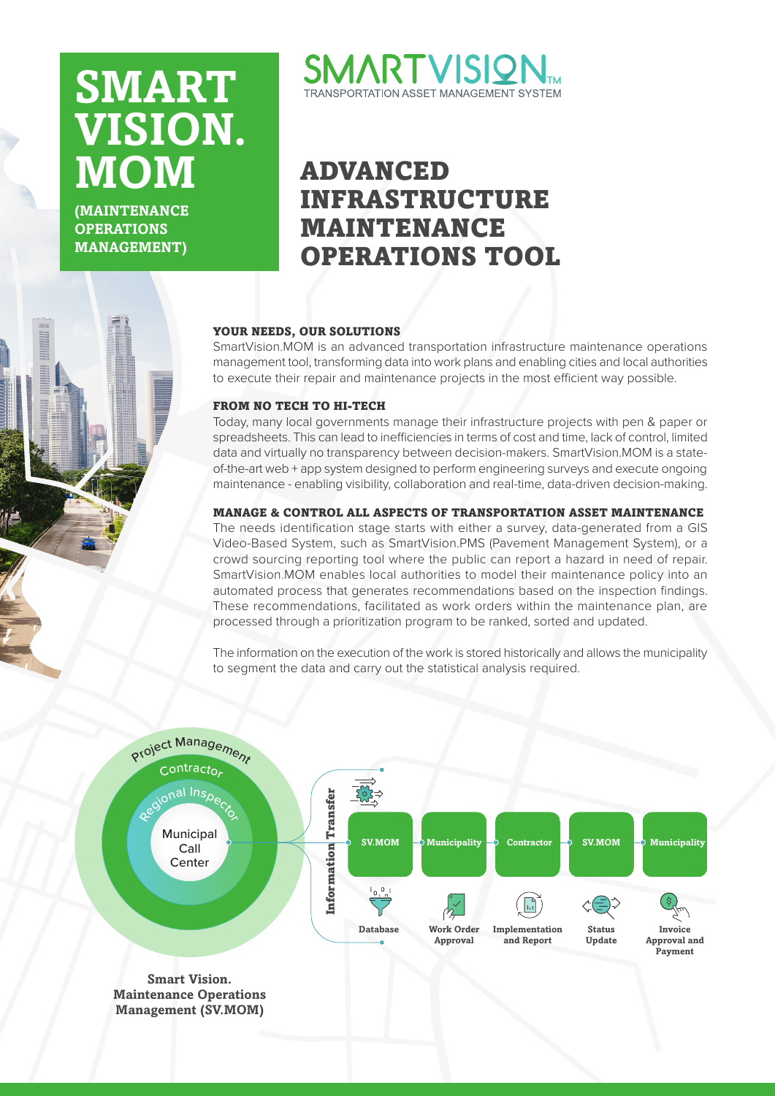# **SMART .VISION MOM**

*(MAINTENANCE***) OPERATIONS (MANAGEMENT**



# ADVANCED INFRASTRUCTURE MAINTENANCE OPERATIONS TOOL

#### YOUR NEEDS, OUR SOLUTIONS

SmartVision. MOM is an advanced transportation infrastructure maintenance operations management tool, transforming data into work plans and enabling cities and local authorities to execute their repair and maintenance projects in the most efficient way possible.

### FROM NO TECH TO HI-TECH

Today, many local governments manage their infrastructure projects with pen & paper or spreadsheets. This can lead to inefficiencies in terms of cost and time, lack of control, limited of-the-art web + app system designed to perform engineering surveys and execute ongoing data and virtually no transparency between decision-makers. SmartVision MOM is a statemaintenance - enabling visibility, collaboration and real-time, data-driven decision-making.

# MANAGE & CONTROL ALL ASPECTS OF TRANSPORTATION ASSET MAINTENANCE

The needs identification stage starts with either a survey, data-generated from a GIS Video-Based System, such as SmartVision.PMS (Pavement Management System), or a crowd sourcing reporting tool where the public can report a hazard in need of repair. SmartVision.MOM enables local authorities to model their maintenance policy into an automated process that generates recommendations based on the inspection findings. These recommendations, facilitated as work orders within the maintenance plan, are processed through a prioritization program to be ranked, sorted and updated.

The information on the execution of the work is stored historically and allows the municipality to seament the data and carry out the statistical analysis required.



**Management** (SV.MOM)